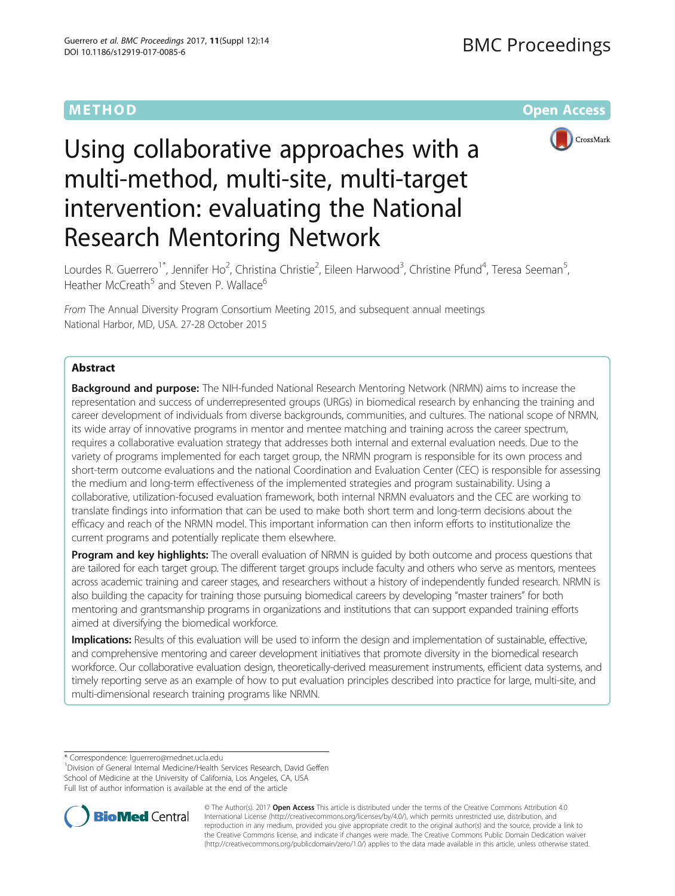METHOD **Open Access** (No. 2008) **METHOD** 



# Using collaborative approaches with a multi-method, multi-site, multi-target intervention: evaluating the National Research Mentoring Network

Lourdes R. Guerrero<sup>1\*</sup>, Jennifer Ho<sup>2</sup>, Christina Christie<sup>2</sup>, Eileen Harwood<sup>3</sup>, Christine Pfund<sup>4</sup>, Teresa Seeman<sup>5</sup> , Heather McCreath<sup>5</sup> and Steven P. Wallace<sup>6</sup>

From The Annual Diversity Program Consortium Meeting 2015, and subsequent annual meetings National Harbor, MD, USA. 27-28 October 2015

### Abstract

Background and purpose: The NIH-funded National Research Mentoring Network (NRMN) aims to increase the representation and success of underrepresented groups (URGs) in biomedical research by enhancing the training and career development of individuals from diverse backgrounds, communities, and cultures. The national scope of NRMN, its wide array of innovative programs in mentor and mentee matching and training across the career spectrum, requires a collaborative evaluation strategy that addresses both internal and external evaluation needs. Due to the variety of programs implemented for each target group, the NRMN program is responsible for its own process and short-term outcome evaluations and the national Coordination and Evaluation Center (CEC) is responsible for assessing the medium and long-term effectiveness of the implemented strategies and program sustainability. Using a collaborative, utilization-focused evaluation framework, both internal NRMN evaluators and the CEC are working to translate findings into information that can be used to make both short term and long-term decisions about the efficacy and reach of the NRMN model. This important information can then inform efforts to institutionalize the current programs and potentially replicate them elsewhere.

Program and key highlights: The overall evaluation of NRMN is guided by both outcome and process questions that are tailored for each target group. The different target groups include faculty and others who serve as mentors, mentees across academic training and career stages, and researchers without a history of independently funded research. NRMN is also building the capacity for training those pursuing biomedical careers by developing "master trainers" for both mentoring and grantsmanship programs in organizations and institutions that can support expanded training efforts aimed at diversifying the biomedical workforce.

Implications: Results of this evaluation will be used to inform the design and implementation of sustainable, effective, and comprehensive mentoring and career development initiatives that promote diversity in the biomedical research workforce. Our collaborative evaluation design, theoretically-derived measurement instruments, efficient data systems, and timely reporting serve as an example of how to put evaluation principles described into practice for large, multi-site, and multi-dimensional research training programs like NRMN.

\* Correspondence: [lguerrero@mednet.ucla.edu](mailto:lguerrero@mednet.ucla.edu) <sup>1</sup>

<sup>1</sup> Division of General Internal Medicine/Health Services Research, David Geffen School of Medicine at the University of California, Los Angeles, CA, USA Full list of author information is available at the end of the article



© The Author(s). 2017 **Open Access** This article is distributed under the terms of the Creative Commons Attribution 4.0 International License [\(http://creativecommons.org/licenses/by/4.0/](http://creativecommons.org/licenses/by/4.0/)), which permits unrestricted use, distribution, and reproduction in any medium, provided you give appropriate credit to the original author(s) and the source, provide a link to the Creative Commons license, and indicate if changes were made. The Creative Commons Public Domain Dedication waiver [\(http://creativecommons.org/publicdomain/zero/1.0/](http://creativecommons.org/publicdomain/zero/1.0/)) applies to the data made available in this article, unless otherwise stated.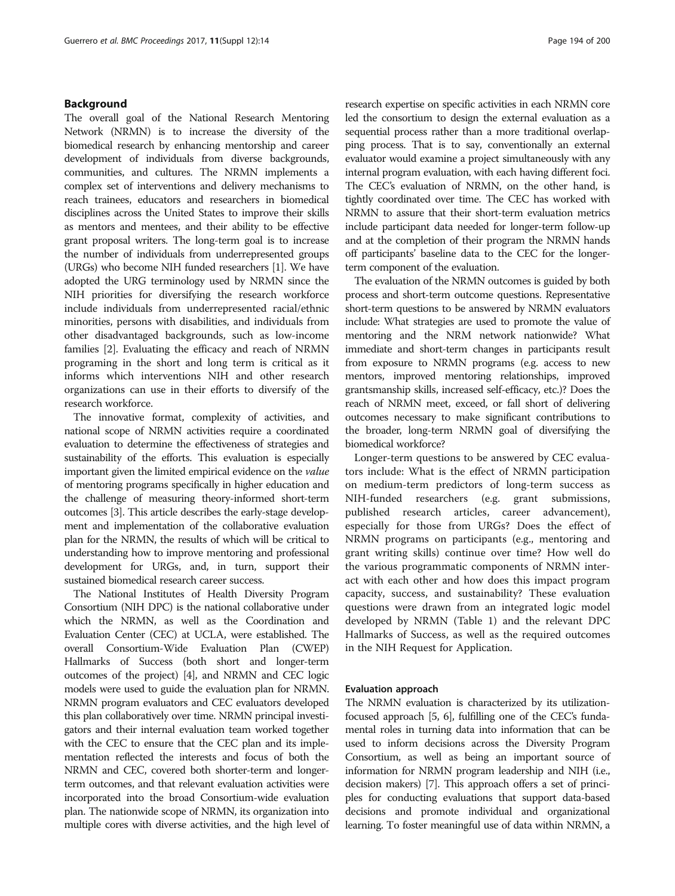### Background

The overall goal of the National Research Mentoring Network (NRMN) is to increase the diversity of the biomedical research by enhancing mentorship and career development of individuals from diverse backgrounds, communities, and cultures. The NRMN implements a complex set of interventions and delivery mechanisms to reach trainees, educators and researchers in biomedical disciplines across the United States to improve their skills as mentors and mentees, and their ability to be effective grant proposal writers. The long-term goal is to increase the number of individuals from underrepresented groups (URGs) who become NIH funded researchers [\[1\]](#page-7-0). We have adopted the URG terminology used by NRMN since the NIH priorities for diversifying the research workforce include individuals from underrepresented racial/ethnic minorities, persons with disabilities, and individuals from other disadvantaged backgrounds, such as low-income families [\[2](#page-7-0)]. Evaluating the efficacy and reach of NRMN programing in the short and long term is critical as it informs which interventions NIH and other research organizations can use in their efforts to diversify of the research workforce.

The innovative format, complexity of activities, and national scope of NRMN activities require a coordinated evaluation to determine the effectiveness of strategies and sustainability of the efforts. This evaluation is especially important given the limited empirical evidence on the value of mentoring programs specifically in higher education and the challenge of measuring theory-informed short-term outcomes [\[3\]](#page-7-0). This article describes the early-stage development and implementation of the collaborative evaluation plan for the NRMN, the results of which will be critical to understanding how to improve mentoring and professional development for URGs, and, in turn, support their sustained biomedical research career success.

The National Institutes of Health Diversity Program Consortium (NIH DPC) is the national collaborative under which the NRMN, as well as the Coordination and Evaluation Center (CEC) at UCLA, were established. The overall Consortium-Wide Evaluation Plan (CWEP) Hallmarks of Success (both short and longer-term outcomes of the project) [[4](#page-7-0)], and NRMN and CEC logic models were used to guide the evaluation plan for NRMN. NRMN program evaluators and CEC evaluators developed this plan collaboratively over time. NRMN principal investigators and their internal evaluation team worked together with the CEC to ensure that the CEC plan and its implementation reflected the interests and focus of both the NRMN and CEC, covered both shorter-term and longerterm outcomes, and that relevant evaluation activities were incorporated into the broad Consortium-wide evaluation plan. The nationwide scope of NRMN, its organization into multiple cores with diverse activities, and the high level of

research expertise on specific activities in each NRMN core led the consortium to design the external evaluation as a sequential process rather than a more traditional overlapping process. That is to say, conventionally an external evaluator would examine a project simultaneously with any internal program evaluation, with each having different foci. The CEC's evaluation of NRMN, on the other hand, is tightly coordinated over time. The CEC has worked with NRMN to assure that their short-term evaluation metrics include participant data needed for longer-term follow-up and at the completion of their program the NRMN hands off participants' baseline data to the CEC for the longerterm component of the evaluation.

The evaluation of the NRMN outcomes is guided by both process and short-term outcome questions. Representative short-term questions to be answered by NRMN evaluators include: What strategies are used to promote the value of mentoring and the NRM network nationwide? What immediate and short-term changes in participants result from exposure to NRMN programs (e.g. access to new mentors, improved mentoring relationships, improved grantsmanship skills, increased self-efficacy, etc.)? Does the reach of NRMN meet, exceed, or fall short of delivering outcomes necessary to make significant contributions to the broader, long-term NRMN goal of diversifying the biomedical workforce?

Longer-term questions to be answered by CEC evaluators include: What is the effect of NRMN participation on medium-term predictors of long-term success as NIH-funded researchers (e.g. grant submissions, published research articles, career advancement), especially for those from URGs? Does the effect of NRMN programs on participants (e.g., mentoring and grant writing skills) continue over time? How well do the various programmatic components of NRMN interact with each other and how does this impact program capacity, success, and sustainability? These evaluation questions were drawn from an integrated logic model developed by NRMN (Table [1\)](#page-2-0) and the relevant DPC Hallmarks of Success, as well as the required outcomes in the NIH Request for Application.

#### Evaluation approach

The NRMN evaluation is characterized by its utilizationfocused approach [\[5, 6](#page-7-0)], fulfilling one of the CEC's fundamental roles in turning data into information that can be used to inform decisions across the Diversity Program Consortium, as well as being an important source of information for NRMN program leadership and NIH (i.e., decision makers) [\[7](#page-7-0)]. This approach offers a set of principles for conducting evaluations that support data-based decisions and promote individual and organizational learning. To foster meaningful use of data within NRMN, a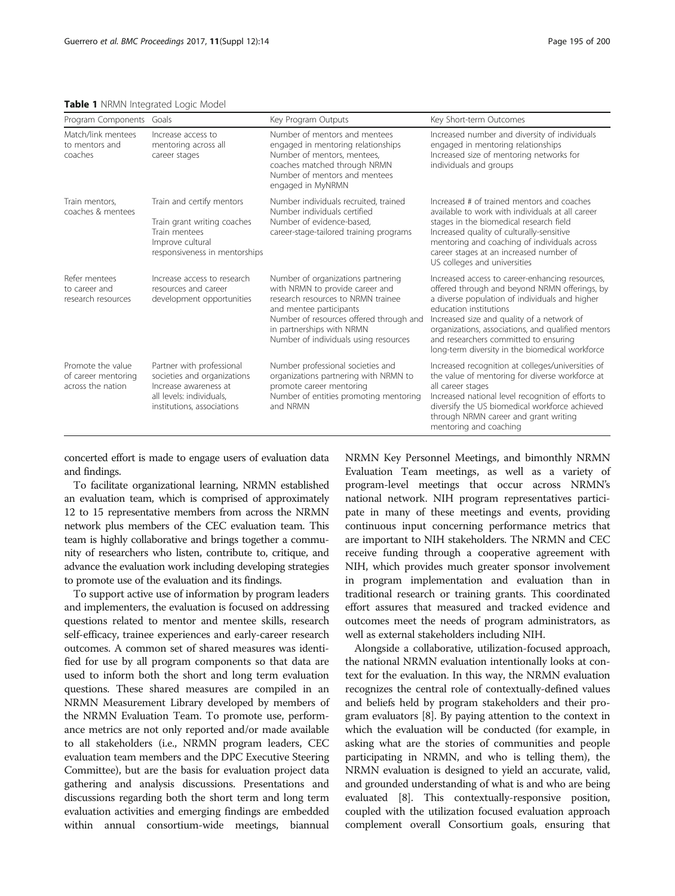concerted effort is made to engage users of evaluation data and findings.

To facilitate organizational learning, NRMN established an evaluation team, which is comprised of approximately 12 to 15 representative members from across the NRMN network plus members of the CEC evaluation team. This team is highly collaborative and brings together a community of researchers who listen, contribute to, critique, and advance the evaluation work including developing strategies to promote use of the evaluation and its findings.

To support active use of information by program leaders and implementers, the evaluation is focused on addressing questions related to mentor and mentee skills, research self-efficacy, trainee experiences and early-career research outcomes. A common set of shared measures was identified for use by all program components so that data are used to inform both the short and long term evaluation questions. These shared measures are compiled in an NRMN Measurement Library developed by members of the NRMN Evaluation Team. To promote use, performance metrics are not only reported and/or made available to all stakeholders (i.e., NRMN program leaders, CEC evaluation team members and the DPC Executive Steering Committee), but are the basis for evaluation project data gathering and analysis discussions. Presentations and discussions regarding both the short term and long term evaluation activities and emerging findings are embedded within annual consortium-wide meetings, biannual NRMN Key Personnel Meetings, and bimonthly NRMN Evaluation Team meetings, as well as a variety of program-level meetings that occur across NRMN's national network. NIH program representatives participate in many of these meetings and events, providing continuous input concerning performance metrics that are important to NIH stakeholders. The NRMN and CEC receive funding through a cooperative agreement with NIH, which provides much greater sponsor involvement in program implementation and evaluation than in traditional research or training grants. This coordinated effort assures that measured and tracked evidence and outcomes meet the needs of program administrators, as well as external stakeholders including NIH.

Alongside a collaborative, utilization-focused approach, the national NRMN evaluation intentionally looks at context for the evaluation. In this way, the NRMN evaluation recognizes the central role of contextually-defined values and beliefs held by program stakeholders and their program evaluators [\[8](#page-7-0)]. By paying attention to the context in which the evaluation will be conducted (for example, in asking what are the stories of communities and people participating in NRMN, and who is telling them), the NRMN evaluation is designed to yield an accurate, valid, and grounded understanding of what is and who are being evaluated [[8](#page-7-0)]. This contextually-responsive position, coupled with the utilization focused evaluation approach complement overall Consortium goals, ensuring that

<span id="page-2-0"></span>Table 1 NRMN Integrated Logic Model

| Program Components Goals                                      |                                                                                                                                             | Key Program Outputs                                                                                                                                                                                                                                     | Key Short-term Outcomes                                                                                                                                                                                                                                                                                                                                                      |
|---------------------------------------------------------------|---------------------------------------------------------------------------------------------------------------------------------------------|---------------------------------------------------------------------------------------------------------------------------------------------------------------------------------------------------------------------------------------------------------|------------------------------------------------------------------------------------------------------------------------------------------------------------------------------------------------------------------------------------------------------------------------------------------------------------------------------------------------------------------------------|
| Match/link mentees<br>to mentors and<br>coaches               | Increase access to<br>mentoring across all<br>career stages                                                                                 | Number of mentors and mentees<br>engaged in mentoring relationships<br>Number of mentors, mentees,<br>coaches matched through NRMN<br>Number of mentors and mentees<br>engaged in MyNRMN                                                                | Increased number and diversity of individuals<br>engaged in mentoring relationships<br>Increased size of mentoring networks for<br>individuals and groups                                                                                                                                                                                                                    |
| Train mentors,<br>coaches & mentees                           | Train and certify mentors<br>Train grant writing coaches<br>Train mentees<br>Improve cultural<br>responsiveness in mentorships              | Number individuals recruited, trained<br>Number individuals certified<br>Number of evidence-based.<br>career-stage-tailored training programs                                                                                                           | Increased # of trained mentors and coaches<br>available to work with individuals at all career<br>stages in the biomedical research field<br>Increased quality of culturally-sensitive<br>mentoring and coaching of individuals across<br>career stages at an increased number of<br>US colleges and universities                                                            |
| Refer mentees<br>to career and<br>research resources          | Increase access to research<br>resources and career<br>development opportunities                                                            | Number of organizations partnering<br>with NRMN to provide career and<br>research resources to NRMN trainee<br>and mentee participants<br>Number of resources offered through and<br>in partnerships with NRMN<br>Number of individuals using resources | Increased access to career-enhancing resources,<br>offered through and beyond NRMN offerings, by<br>a diverse population of individuals and higher<br>education institutions<br>Increased size and quality of a network of<br>organizations, associations, and qualified mentors<br>and researchers committed to ensuring<br>long-term diversity in the biomedical workforce |
| Promote the value<br>of career mentoring<br>across the nation | Partner with professional<br>societies and organizations<br>Increase awareness at<br>all levels: individuals,<br>institutions, associations | Number professional societies and<br>organizations partnering with NRMN to<br>promote career mentoring<br>Number of entities promoting mentoring<br>and NRMN                                                                                            | Increased recognition at colleges/universities of<br>the value of mentoring for diverse workforce at<br>all career stages<br>Increased national level recognition of efforts to<br>diversify the US biomedical workforce achieved<br>through NRMN career and grant writing<br>mentoring and coaching                                                                         |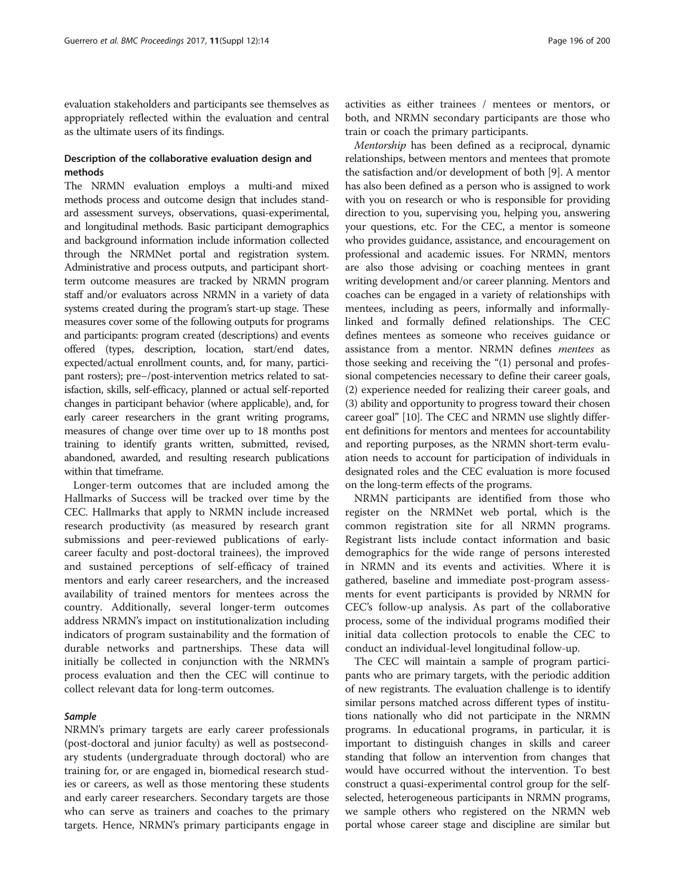evaluation stakeholders and participants see themselves as appropriately reflected within the evaluation and central as the ultimate users of its findings.

### Description of the collaborative evaluation design and methods

The NRMN evaluation employs a multi-and mixed methods process and outcome design that includes standard assessment surveys, observations, quasi-experimental, and longitudinal methods. Basic participant demographics and background information include information collected through the NRMNet portal and registration system. Administrative and process outputs, and participant shortterm outcome measures are tracked by NRMN program staff and/or evaluators across NRMN in a variety of data systems created during the program's start-up stage. These measures cover some of the following outputs for programs and participants: program created (descriptions) and events offered (types, description, location, start/end dates, expected/actual enrollment counts, and, for many, participant rosters); pre−/post-intervention metrics related to satisfaction, skills, self-efficacy, planned or actual self-reported changes in participant behavior (where applicable), and, for early career researchers in the grant writing programs, measures of change over time over up to 18 months post training to identify grants written, submitted, revised, abandoned, awarded, and resulting research publications within that timeframe.

Longer-term outcomes that are included among the Hallmarks of Success will be tracked over time by the CEC. Hallmarks that apply to NRMN include increased research productivity (as measured by research grant submissions and peer-reviewed publications of earlycareer faculty and post-doctoral trainees), the improved and sustained perceptions of self-efficacy of trained mentors and early career researchers, and the increased availability of trained mentors for mentees across the country. Additionally, several longer-term outcomes address NRMN's impact on institutionalization including indicators of program sustainability and the formation of durable networks and partnerships. These data will initially be collected in conjunction with the NRMN's process evaluation and then the CEC will continue to collect relevant data for long-term outcomes.

NRMN's primary targets are early career professionals (post-doctoral and junior faculty) as well as postsecondary students (undergraduate through doctoral) who are training for, or are engaged in, biomedical research studies or careers, as well as those mentoring these students and early career researchers. Secondary targets are those who can serve as trainers and coaches to the primary targets. Hence, NRMN's primary participants engage in

Mentorship has been defined as a reciprocal, dynamic relationships, between mentors and mentees that promote the satisfaction and/or development of both [[9](#page-7-0)]. A mentor has also been defined as a person who is assigned to work with you on research or who is responsible for providing direction to you, supervising you, helping you, answering your questions, etc. For the CEC, a mentor is someone who provides guidance, assistance, and encouragement on professional and academic issues. For NRMN, mentors are also those advising or coaching mentees in grant writing development and/or career planning. Mentors and coaches can be engaged in a variety of relationships with mentees, including as peers, informally and informallylinked and formally defined relationships. The CEC defines mentees as someone who receives guidance or assistance from a mentor. NRMN defines mentees as those seeking and receiving the "(1) personal and professional competencies necessary to define their career goals, (2) experience needed for realizing their career goals, and (3) ability and opportunity to progress toward their chosen career goal" [\[10\]](#page-7-0). The CEC and NRMN use slightly different definitions for mentors and mentees for accountability and reporting purposes, as the NRMN short-term evaluation needs to account for participation of individuals in designated roles and the CEC evaluation is more focused on the long-term effects of the programs.

NRMN participants are identified from those who register on the NRMNet web portal, which is the common registration site for all NRMN programs. Registrant lists include contact information and basic demographics for the wide range of persons interested in NRMN and its events and activities. Where it is gathered, baseline and immediate post-program assessments for event participants is provided by NRMN for CEC's follow-up analysis. As part of the collaborative process, some of the individual programs modified their initial data collection protocols to enable the CEC to conduct an individual-level longitudinal follow-up.

The CEC will maintain a sample of program participants who are primary targets, with the periodic addition of new registrants. The evaluation challenge is to identify similar persons matched across different types of institutions nationally who did not participate in the NRMN programs. In educational programs, in particular, it is important to distinguish changes in skills and career standing that follow an intervention from changes that would have occurred without the intervention. To best construct a quasi-experimental control group for the selfselected, heterogeneous participants in NRMN programs, we sample others who registered on the NRMN web portal whose career stage and discipline are similar but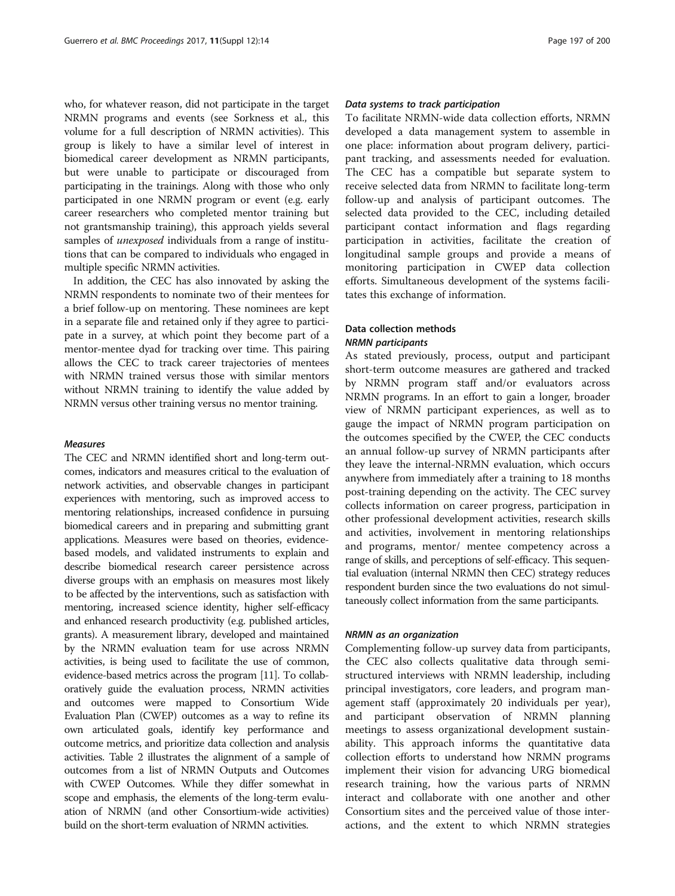who, for whatever reason, did not participate in the target NRMN programs and events (see Sorkness et al., this volume for a full description of NRMN activities). This group is likely to have a similar level of interest in biomedical career development as NRMN participants, but were unable to participate or discouraged from participating in the trainings. Along with those who only participated in one NRMN program or event (e.g. early career researchers who completed mentor training but not grantsmanship training), this approach yields several samples of *unexposed* individuals from a range of institutions that can be compared to individuals who engaged in multiple specific NRMN activities.

In addition, the CEC has also innovated by asking the NRMN respondents to nominate two of their mentees for a brief follow-up on mentoring. These nominees are kept in a separate file and retained only if they agree to participate in a survey, at which point they become part of a mentor-mentee dyad for tracking over time. This pairing allows the CEC to track career trajectories of mentees with NRMN trained versus those with similar mentors without NRMN training to identify the value added by NRMN versus other training versus no mentor training.

The CEC and NRMN identified short and long-term outcomes, indicators and measures critical to the evaluation of network activities, and observable changes in participant experiences with mentoring, such as improved access to mentoring relationships, increased confidence in pursuing biomedical careers and in preparing and submitting grant applications. Measures were based on theories, evidencebased models, and validated instruments to explain and describe biomedical research career persistence across diverse groups with an emphasis on measures most likely to be affected by the interventions, such as satisfaction with mentoring, increased science identity, higher self-efficacy and enhanced research productivity (e.g. published articles, grants). A measurement library, developed and maintained by the NRMN evaluation team for use across NRMN activities, is being used to facilitate the use of common, evidence-based metrics across the program [\[11\]](#page-7-0). To collaboratively guide the evaluation process, NRMN activities and outcomes were mapped to Consortium Wide Evaluation Plan (CWEP) outcomes as a way to refine its own articulated goals, identify key performance and outcome metrics, and prioritize data collection and analysis activities. Table [2](#page-5-0) illustrates the alignment of a sample of outcomes from a list of NRMN Outputs and Outcomes with CWEP Outcomes. While they differ somewhat in scope and emphasis, the elements of the long-term evaluation of NRMN (and other Consortium-wide activities) build on the short-term evaluation of NRMN activities.

To facilitate NRMN-wide data collection efforts, NRMN developed a data management system to assemble in one place: information about program delivery, participant tracking, and assessments needed for evaluation. The CEC has a compatible but separate system to receive selected data from NRMN to facilitate long-term follow-up and analysis of participant outcomes. The selected data provided to the CEC, including detailed participant contact information and flags regarding participation in activities, facilitate the creation of longitudinal sample groups and provide a means of monitoring participation in CWEP data collection efforts. Simultaneous development of the systems facilitates this exchange of information.

## Data collection methods

As stated previously, process, output and participant short-term outcome measures are gathered and tracked by NRMN program staff and/or evaluators across NRMN programs. In an effort to gain a longer, broader view of NRMN participant experiences, as well as to gauge the impact of NRMN program participation on the outcomes specified by the CWEP, the CEC conducts an annual follow-up survey of NRMN participants after they leave the internal-NRMN evaluation, which occurs anywhere from immediately after a training to 18 months post-training depending on the activity. The CEC survey collects information on career progress, participation in other professional development activities, research skills and activities, involvement in mentoring relationships and programs, mentor/ mentee competency across a range of skills, and perceptions of self-efficacy. This sequential evaluation (internal NRMN then CEC) strategy reduces respondent burden since the two evaluations do not simultaneously collect information from the same participants.

Complementing follow-up survey data from participants, the CEC also collects qualitative data through semistructured interviews with NRMN leadership, including principal investigators, core leaders, and program management staff (approximately 20 individuals per year), and participant observation of NRMN planning meetings to assess organizational development sustainability. This approach informs the quantitative data collection efforts to understand how NRMN programs implement their vision for advancing URG biomedical research training, how the various parts of NRMN interact and collaborate with one another and other Consortium sites and the perceived value of those interactions, and the extent to which NRMN strategies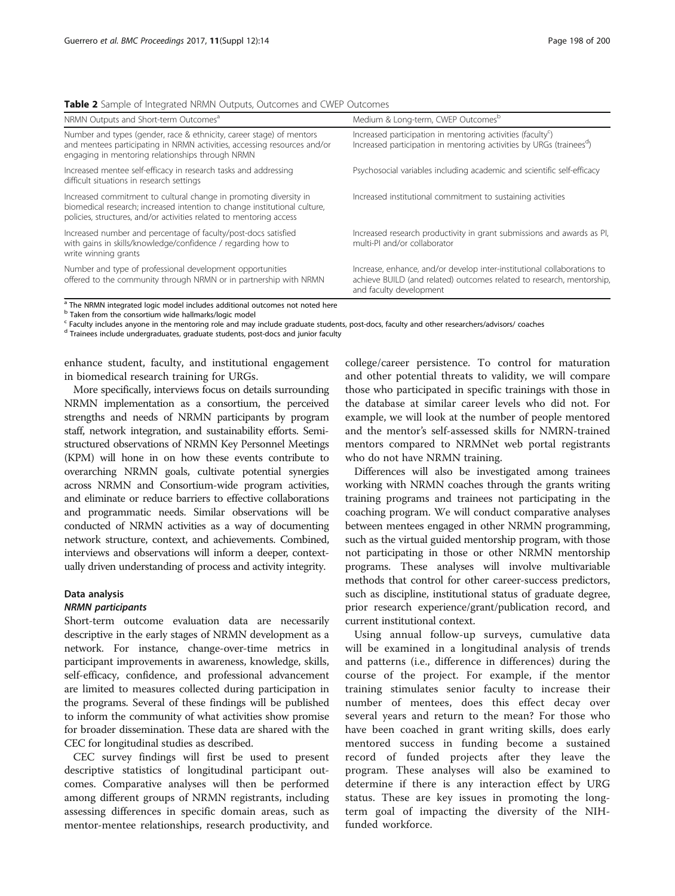<span id="page-5-0"></span>

|  |  | <b>Table 2</b> Sample of Integrated NRMN Outputs, Outcomes and CWEP Outcomes |
|--|--|------------------------------------------------------------------------------|
|  |  |                                                                              |

| NRMN Outputs and Short-term Outcomes <sup>a</sup>                                                                                                                                                                     | Medium & Long-term, CWEP Outcomes <sup>b</sup>                                                                                                                              |
|-----------------------------------------------------------------------------------------------------------------------------------------------------------------------------------------------------------------------|-----------------------------------------------------------------------------------------------------------------------------------------------------------------------------|
| Number and types (gender, race & ethnicity, career stage) of mentors<br>and mentees participating in NRMN activities, accessing resources and/or<br>engaging in mentoring relationships through NRMN                  | Increased participation in mentoring activities (faculty <sup>c</sup> )<br>Increased participation in mentoring activities by URGs (trainees <sup>d</sup> )                 |
| Increased mentee self-efficacy in research tasks and addressing<br>difficult situations in research settings                                                                                                          | Psychosocial variables including academic and scientific self-efficacy                                                                                                      |
| Increased commitment to cultural change in promoting diversity in<br>biomedical research; increased intention to change institutional culture,<br>policies, structures, and/or activities related to mentoring access | Increased institutional commitment to sustaining activities                                                                                                                 |
| Increased number and percentage of faculty/post-docs satisfied<br>with gains in skills/knowledge/confidence / regarding how to<br>write winning grants                                                                | Increased research productivity in grant submissions and awards as PI,<br>multi-PI and/or collaborator                                                                      |
| Number and type of professional development opportunities<br>offered to the community through NRMN or in partnership with NRMN                                                                                        | Increase, enhance, and/or develop inter-institutional collaborations to<br>achieve BUILD (and related) outcomes related to research, mentorship,<br>and faculty development |

<sup>a</sup> The NRMN integrated logic model includes additional outcomes not noted here

**b** Taken from the consortium wide hallmarks/logic model

<sup>c</sup> Faculty includes anyone in the mentoring role and may include graduate students, post-docs, faculty and other researchers/advisors/ coaches

<sup>d</sup> Trainees include undergraduates, graduate students, post-docs and junior faculty

enhance student, faculty, and institutional engagement in biomedical research training for URGs.

More specifically, interviews focus on details surrounding NRMN implementation as a consortium, the perceived strengths and needs of NRMN participants by program staff, network integration, and sustainability efforts. Semistructured observations of NRMN Key Personnel Meetings (KPM) will hone in on how these events contribute to overarching NRMN goals, cultivate potential synergies across NRMN and Consortium-wide program activities, and eliminate or reduce barriers to effective collaborations and programmatic needs. Similar observations will be conducted of NRMN activities as a way of documenting network structure, context, and achievements. Combined, interviews and observations will inform a deeper, contextually driven understanding of process and activity integrity.

### Data analysis

Short-term outcome evaluation data are necessarily descriptive in the early stages of NRMN development as a network. For instance, change-over-time metrics in participant improvements in awareness, knowledge, skills, self-efficacy, confidence, and professional advancement are limited to measures collected during participation in the programs. Several of these findings will be published to inform the community of what activities show promise for broader dissemination. These data are shared with the CEC for longitudinal studies as described.

CEC survey findings will first be used to present descriptive statistics of longitudinal participant outcomes. Comparative analyses will then be performed among different groups of NRMN registrants, including assessing differences in specific domain areas, such as mentor-mentee relationships, research productivity, and

college/career persistence. To control for maturation and other potential threats to validity, we will compare those who participated in specific trainings with those in the database at similar career levels who did not. For example, we will look at the number of people mentored and the mentor's self-assessed skills for NMRN-trained mentors compared to NRMNet web portal registrants who do not have NRMN training.

Differences will also be investigated among trainees working with NRMN coaches through the grants writing training programs and trainees not participating in the coaching program. We will conduct comparative analyses between mentees engaged in other NRMN programming, such as the virtual guided mentorship program, with those not participating in those or other NRMN mentorship programs. These analyses will involve multivariable methods that control for other career-success predictors, such as discipline, institutional status of graduate degree, prior research experience/grant/publication record, and current institutional context.

Using annual follow-up surveys, cumulative data will be examined in a longitudinal analysis of trends and patterns (i.e., difference in differences) during the course of the project. For example, if the mentor training stimulates senior faculty to increase their number of mentees, does this effect decay over several years and return to the mean? For those who have been coached in grant writing skills, does early mentored success in funding become a sustained record of funded projects after they leave the program. These analyses will also be examined to determine if there is any interaction effect by URG status. These are key issues in promoting the longterm goal of impacting the diversity of the NIHfunded workforce.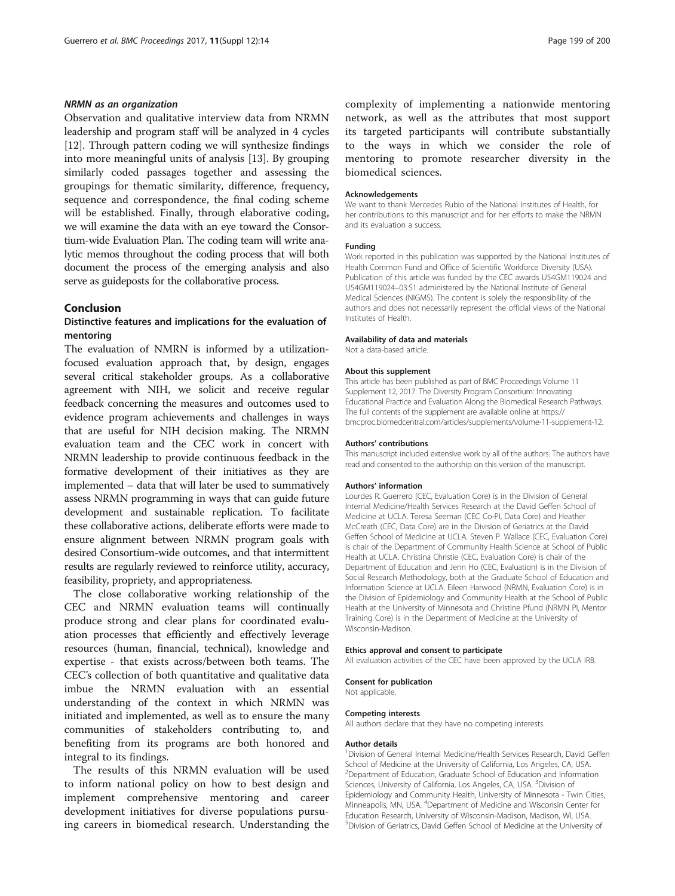Observation and qualitative interview data from NRMN leadership and program staff will be analyzed in 4 cycles [[12\]](#page-7-0). Through pattern coding we will synthesize findings into more meaningful units of analysis [\[13\]](#page-7-0). By grouping similarly coded passages together and assessing the groupings for thematic similarity, difference, frequency, sequence and correspondence, the final coding scheme will be established. Finally, through elaborative coding, we will examine the data with an eye toward the Consortium-wide Evaluation Plan. The coding team will write analytic memos throughout the coding process that will both document the process of the emerging analysis and also serve as guideposts for the collaborative process.

### Conclusion

### Distinctive features and implications for the evaluation of mentoring

The evaluation of NMRN is informed by a utilizationfocused evaluation approach that, by design, engages several critical stakeholder groups. As a collaborative agreement with NIH, we solicit and receive regular feedback concerning the measures and outcomes used to evidence program achievements and challenges in ways that are useful for NIH decision making. The NRMN evaluation team and the CEC work in concert with NRMN leadership to provide continuous feedback in the formative development of their initiatives as they are implemented – data that will later be used to summatively assess NRMN programming in ways that can guide future development and sustainable replication. To facilitate these collaborative actions, deliberate efforts were made to ensure alignment between NRMN program goals with desired Consortium-wide outcomes, and that intermittent results are regularly reviewed to reinforce utility, accuracy, feasibility, propriety, and appropriateness.

The close collaborative working relationship of the CEC and NRMN evaluation teams will continually produce strong and clear plans for coordinated evaluation processes that efficiently and effectively leverage resources (human, financial, technical), knowledge and expertise - that exists across/between both teams. The CEC's collection of both quantitative and qualitative data imbue the NRMN evaluation with an essential understanding of the context in which NRMN was initiated and implemented, as well as to ensure the many communities of stakeholders contributing to, and benefiting from its programs are both honored and integral to its findings.

The results of this NRMN evaluation will be used to inform national policy on how to best design and implement comprehensive mentoring and career development initiatives for diverse populations pursuing careers in biomedical research. Understanding the

complexity of implementing a nationwide mentoring network, as well as the attributes that most support its targeted participants will contribute substantially to the ways in which we consider the role of mentoring to promote researcher diversity in the biomedical sciences.

#### Acknowledgements

We want to thank Mercedes Rubio of the National Institutes of Health, for her contributions to this manuscript and for her efforts to make the NRMN and its evaluation a success.

#### Funding

Work reported in this publication was supported by the National Institutes of Health Common Fund and Office of Scientific Workforce Diversity (USA). Publication of this article was funded by the CEC awards U54GM119024 and U54GM119024–03:S1 administered by the National Institute of General Medical Sciences (NIGMS). The content is solely the responsibility of the authors and does not necessarily represent the official views of the National Institutes of Health.

#### Availability of data and materials

Not a data-based article.

#### About this supplement

This article has been published as part of BMC Proceedings Volume 11 Supplement 12, 2017: The Diversity Program Consortium: Innovating Educational Practice and Evaluation Along the Biomedical Research Pathways. The full contents of the supplement are available online at [https://](https://bmcproc.biomedcentral.com/articles/supplements/volume-11-supplement-12) [bmcproc.biomedcentral.com/articles/supplements/volume-11-supplement-12](https://bmcproc.biomedcentral.com/articles/supplements/volume-11-supplement-12).

#### Authors' contributions

This manuscript included extensive work by all of the authors. The authors have read and consented to the authorship on this version of the manuscript.

#### Authors' information

Lourdes R. Guerrero (CEC, Evaluation Core) is in the Division of General Internal Medicine/Health Services Research at the David Geffen School of Medicine at UCLA. Teresa Seeman (CEC Co-PI, Data Core) and Heather McCreath (CEC, Data Core) are in the Division of Geriatrics at the David Geffen School of Medicine at UCLA. Steven P. Wallace (CEC, Evaluation Core) is chair of the Department of Community Health Science at School of Public Health at UCLA. Christina Christie (CEC, Evaluation Core) is chair of the Department of Education and Jenn Ho (CEC, Evaluation) is in the Division of Social Research Methodology, both at the Graduate School of Education and Information Science at UCLA. Eileen Harwood (NRMN, Evaluation Core) is in the Division of Epidemiology and Community Health at the School of Public Health at the University of Minnesota and Christine Pfund (NRMN PI, Mentor Training Core) is in the Department of Medicine at the University of Wisconsin-Madison.

#### Ethics approval and consent to participate

All evaluation activities of the CEC have been approved by the UCLA IRB.

#### Consent for publication

Not applicable.

#### Competing interests

All authors declare that they have no competing interests.

#### Author details

<sup>1</sup> Division of General Internal Medicine/Health Services Research, David Geffen School of Medicine at the University of California, Los Angeles, CA, USA. 2 Department of Education, Graduate School of Education and Information Sciences, University of California, Los Angeles, CA, USA. <sup>3</sup>Division of Epidemiology and Community Health, University of Minnesota - Twin Cities, Minneapolis, MN, USA. <sup>4</sup> Department of Medicine and Wisconsin Center for Education Research, University of Wisconsin-Madison, Madison, WI, USA. 5 Division of Geriatrics, David Geffen School of Medicine at the University of